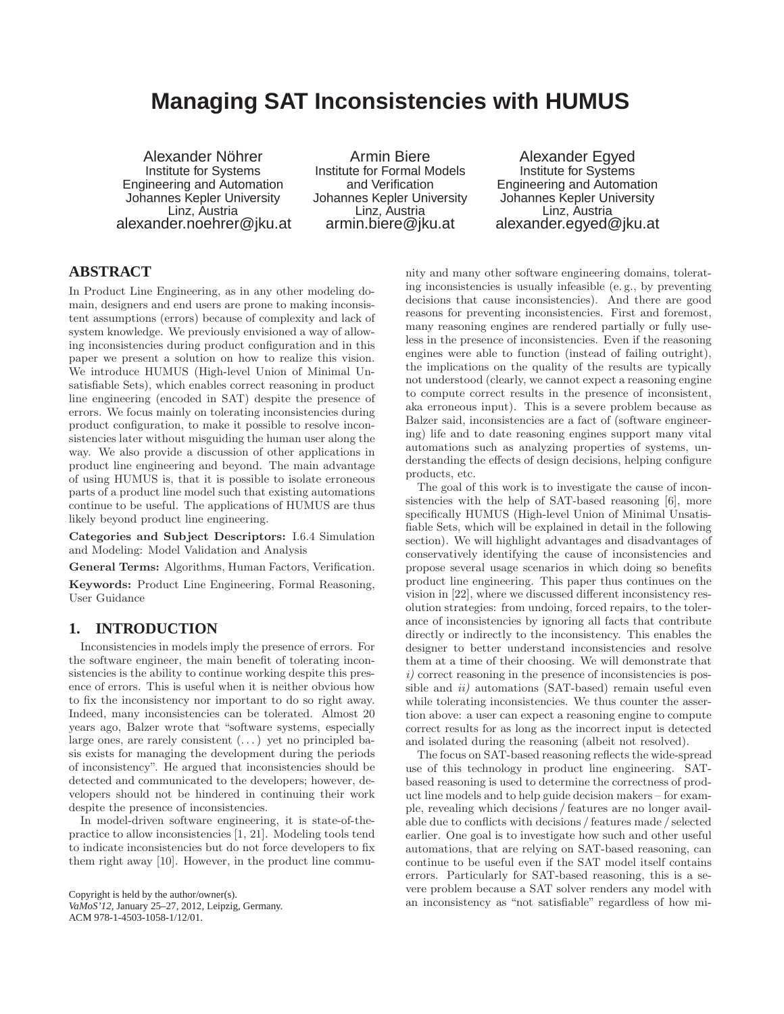# **Managing SAT Inconsistencies with HUMUS**

Alexander Nöhrer Institute for Systems Engineering and Automation Johannes Kepler University Linz, Austria alexander.noehrer@jku.at

Armin Biere Institute for Formal Models and Verification Johannes Kepler University Linz, Austria armin.biere@jku.at

Alexander Egyed Institute for Systems Engineering and Automation Johannes Kepler University Linz, Austria alexander.egyed@jku.at

# **ABSTRACT**

In Product Line Engineering, as in any other modeling domain, designers and end users are prone to making inconsistent assumptions (errors) because of complexity and lack of system knowledge. We previously envisioned a way of allowing inconsistencies during product configuration and in this paper we present a solution on how to realize this vision. We introduce HUMUS (High-level Union of Minimal Unsatisfiable Sets), which enables correct reasoning in product line engineering (encoded in SAT) despite the presence of errors. We focus mainly on tolerating inconsistencies during product configuration, to make it possible to resolve inconsistencies later without misguiding the human user along the way. We also provide a discussion of other applications in product line engineering and beyond. The main advantage of using HUMUS is, that it is possible to isolate erroneous parts of a product line model such that existing automations continue to be useful. The applications of HUMUS are thus likely beyond product line engineering.

Categories and Subject Descriptors: I.6.4 Simulation and Modeling: Model Validation and Analysis

General Terms: Algorithms, Human Factors, Verification.

Keywords: Product Line Engineering, Formal Reasoning, User Guidance

## **1. INTRODUCTION**

Inconsistencies in models imply the presence of errors. For the software engineer, the main benefit of tolerating inconsistencies is the ability to continue working despite this presence of errors. This is useful when it is neither obvious how to fix the inconsistency nor important to do so right away. Indeed, many inconsistencies can be tolerated. Almost 20 years ago, Balzer wrote that "software systems, especially large ones, are rarely consistent  $(\dots)$  yet no principled basis exists for managing the development during the periods of inconsistency". He argued that inconsistencies should be detected and communicated to the developers; however, developers should not be hindered in continuing their work despite the presence of inconsistencies.

In model-driven software engineering, it is state-of-thepractice to allow inconsistencies [1, 21]. Modeling tools tend to indicate inconsistencies but do not force developers to fix them right away [10]. However, in the product line commu-

Copyright is held by the author/owner(s). *VaMoS'12,* January 25–27, 2012, Leipzig, Germany. ACM 978-1-4503-1058-1/12/01.

nity and many other software engineering domains, tolerating inconsistencies is usually infeasible (e. g., by preventing decisions that cause inconsistencies). And there are good reasons for preventing inconsistencies. First and foremost, many reasoning engines are rendered partially or fully useless in the presence of inconsistencies. Even if the reasoning engines were able to function (instead of failing outright), the implications on the quality of the results are typically not understood (clearly, we cannot expect a reasoning engine to compute correct results in the presence of inconsistent, aka erroneous input). This is a severe problem because as Balzer said, inconsistencies are a fact of (software engineering) life and to date reasoning engines support many vital automations such as analyzing properties of systems, understanding the effects of design decisions, helping configure products, etc.

The goal of this work is to investigate the cause of inconsistencies with the help of SAT-based reasoning [6], more specifically HUMUS (High-level Union of Minimal Unsatisfiable Sets, which will be explained in detail in the following section). We will highlight advantages and disadvantages of conservatively identifying the cause of inconsistencies and propose several usage scenarios in which doing so benefits product line engineering. This paper thus continues on the vision in [22], where we discussed different inconsistency resolution strategies: from undoing, forced repairs, to the tolerance of inconsistencies by ignoring all facts that contribute directly or indirectly to the inconsistency. This enables the designer to better understand inconsistencies and resolve them at a time of their choosing. We will demonstrate that  $i)$  correct reasoning in the presence of inconsistencies is possible and  $ii)$  automations (SAT-based) remain useful even while tolerating inconsistencies. We thus counter the assertion above: a user can expect a reasoning engine to compute correct results for as long as the incorrect input is detected and isolated during the reasoning (albeit not resolved).

The focus on SAT-based reasoning reflects the wide-spread use of this technology in product line engineering. SATbased reasoning is used to determine the correctness of product line models and to help guide decision makers – for example, revealing which decisions / features are no longer available due to conflicts with decisions / features made / selected earlier. One goal is to investigate how such and other useful automations, that are relying on SAT-based reasoning, can continue to be useful even if the SAT model itself contains errors. Particularly for SAT-based reasoning, this is a severe problem because a SAT solver renders any model with an inconsistency as "not satisfiable" regardless of how mi-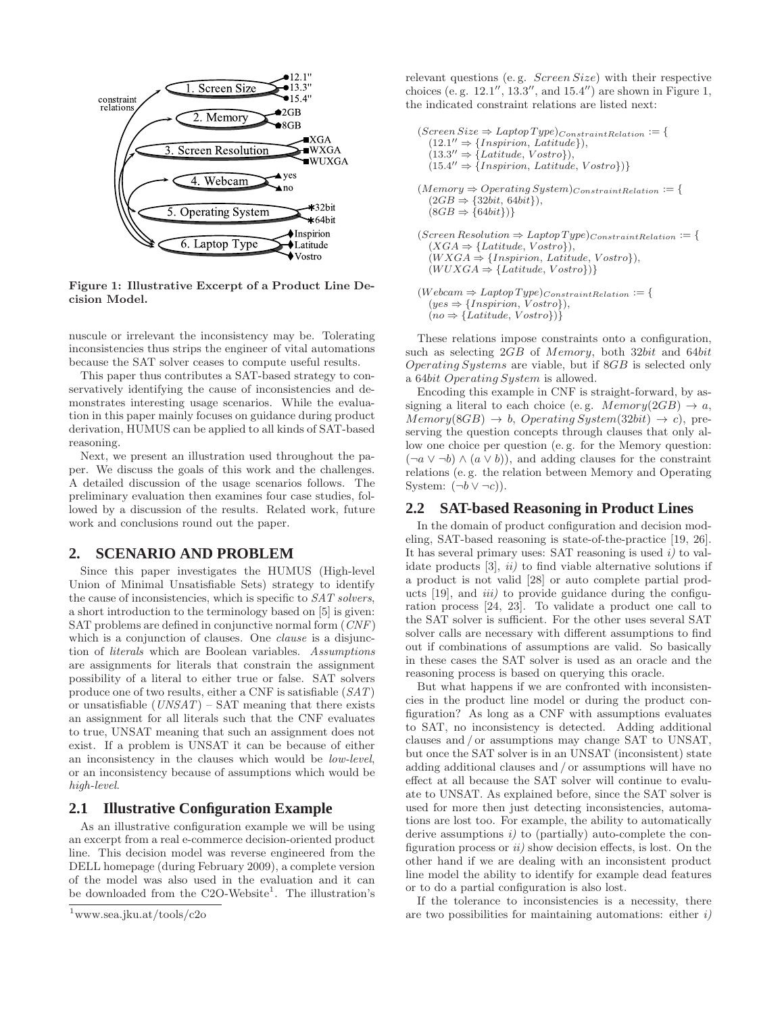

Figure 1: Illustrative Excerpt of a Product Line Decision Model.

nuscule or irrelevant the inconsistency may be. Tolerating inconsistencies thus strips the engineer of vital automations because the SAT solver ceases to compute useful results.

This paper thus contributes a SAT-based strategy to conservatively identifying the cause of inconsistencies and demonstrates interesting usage scenarios. While the evaluation in this paper mainly focuses on guidance during product derivation, HUMUS can be applied to all kinds of SAT-based reasoning.

Next, we present an illustration used throughout the paper. We discuss the goals of this work and the challenges. A detailed discussion of the usage scenarios follows. The preliminary evaluation then examines four case studies, followed by a discussion of the results. Related work, future work and conclusions round out the paper.

#### **2. SCENARIO AND PROBLEM**

Since this paper investigates the HUMUS (High-level Union of Minimal Unsatisfiable Sets) strategy to identify the cause of inconsistencies, which is specific to SAT solvers, a short introduction to the terminology based on [5] is given: SAT problems are defined in conjunctive normal form (CNF) which is a conjunction of clauses. One *clause* is a disjunction of literals which are Boolean variables. Assumptions are assignments for literals that constrain the assignment possibility of a literal to either true or false. SAT solvers produce one of two results, either a CNF is satisfiable (SAT) or unsatisfiable  $(UNSAT)$  – SAT meaning that there exists an assignment for all literals such that the CNF evaluates to true, UNSAT meaning that such an assignment does not exist. If a problem is UNSAT it can be because of either an inconsistency in the clauses which would be low-level, or an inconsistency because of assumptions which would be high-level.

#### **2.1 Illustrative Configuration Example**

As an illustrative configuration example we will be using an excerpt from a real e-commerce decision-oriented product line. This decision model was reverse engineered from the DELL homepage (during February 2009), a complete version of the model was also used in the evaluation and it can be downloaded from the C2O-Website<sup>1</sup>. The illustration's

relevant questions (e. g. Screen Size) with their respective choices (e.g.  $12.1'', 13.3'',$  and  $15.4'$ ) are shown in Figure 1, the indicated constraint relations are listed next:

```
(Screen Size \Rightarrow Laptop Type)_{ConstraintRelation} := \{(12.1'' \Rightarrow \{Inspiration, Latitude\}),(13.3'' \Rightarrow \{Latitude, Vostro\}),(15.4'' \Rightarrow \{Inspiration, Latitude, Vostro\})\}(Memory \Rightarrow Operating System)_{ConstraintRelation} := \{(2GB \Rightarrow {32bit, 64bit}),(8GB \Rightarrow {64bit})(\textit{Screen Resolution} \Rightarrow \textit{Laptop Type})_{ConstraintRelation} := \{(XGA \Rightarrow \{Latitude, Vostro\}),(WXGA \Rightarrow \{Inspiration, Latitude, Vostro\}),(WUXGA \Rightarrow \{Latitude, Vostro\})(Webcam \Rightarrow \textit{Laptop Type})_{Constraint Relation} := \{(yes \Rightarrow \{Inspiration, Vostro\}),
```
 $(no \Rightarrow {Latitude, Vostro})$ }

These relations impose constraints onto a configuration, such as selecting 2GB of Memory, both 32bit and 64bit Operating Systems are viable, but if 8GB is selected only a 64bit Operating System is allowed.

Encoding this example in CNF is straight-forward, by assigning a literal to each choice (e.g.  $Memory(2GB) \rightarrow a$ ,  $Memory(8GB) \rightarrow b$ , Operating System(32bit)  $\rightarrow c$ ), preserving the question concepts through clauses that only allow one choice per question (e. g. for the Memory question:  $(\neg a \lor \neg b) \land (a \lor b)$ , and adding clauses for the constraint relations (e. g. the relation between Memory and Operating System:  $(\neg b \lor \neg c)$ ).

#### **2.2 SAT-based Reasoning in Product Lines**

In the domain of product configuration and decision modeling, SAT-based reasoning is state-of-the-practice [19, 26]. It has several primary uses: SAT reasoning is used i) to validate products  $[3]$ ,  $ii)$  to find viable alternative solutions if a product is not valid [28] or auto complete partial products  $[19]$ , and  $iii)$  to provide guidance during the configuration process [24, 23]. To validate a product one call to the SAT solver is sufficient. For the other uses several SAT solver calls are necessary with different assumptions to find out if combinations of assumptions are valid. So basically in these cases the SAT solver is used as an oracle and the reasoning process is based on querying this oracle.

But what happens if we are confronted with inconsistencies in the product line model or during the product configuration? As long as a CNF with assumptions evaluates to SAT, no inconsistency is detected. Adding additional clauses and / or assumptions may change SAT to UNSAT, but once the SAT solver is in an UNSAT (inconsistent) state adding additional clauses and / or assumptions will have no effect at all because the SAT solver will continue to evaluate to UNSAT. As explained before, since the SAT solver is used for more then just detecting inconsistencies, automations are lost too. For example, the ability to automatically derive assumptions i) to (partially) auto-complete the configuration process or  $ii$ ) show decision effects, is lost. On the other hand if we are dealing with an inconsistent product line model the ability to identify for example dead features or to do a partial configuration is also lost.

If the tolerance to inconsistencies is a necessity, there are two possibilities for maintaining automations: either  $i$ )

<sup>1</sup>www.sea.jku.at/tools/c2o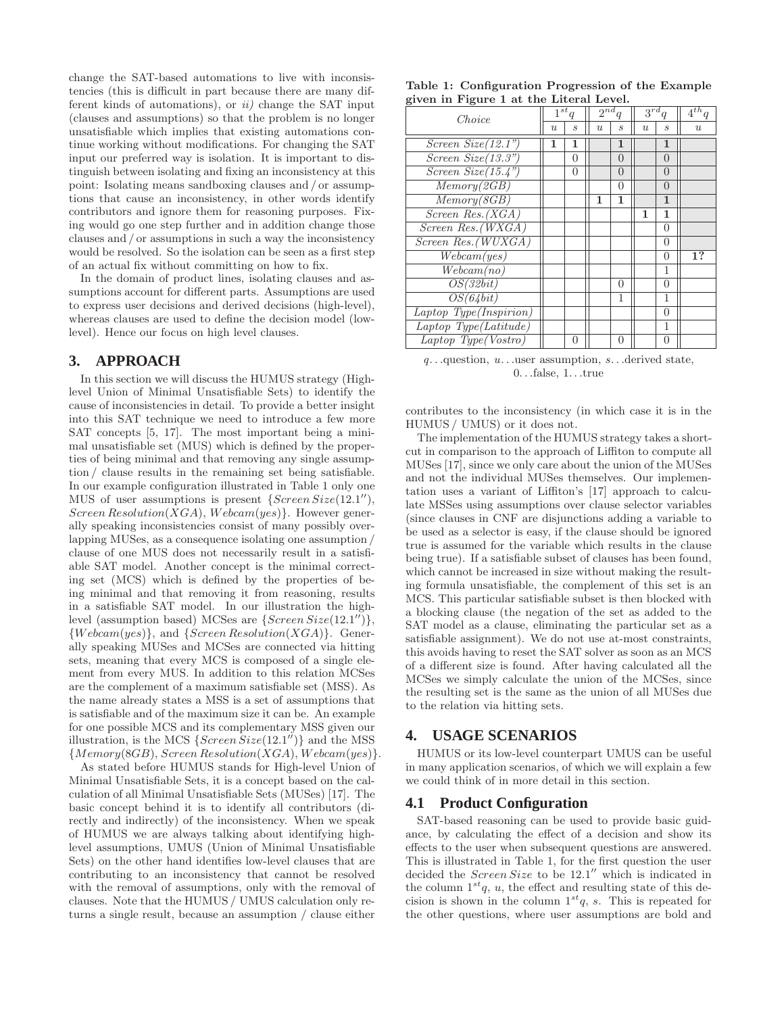change the SAT-based automations to live with inconsistencies (this is difficult in part because there are many different kinds of automations), or  $ii$  change the SAT input (clauses and assumptions) so that the problem is no longer unsatisfiable which implies that existing automations continue working without modifications. For changing the SAT input our preferred way is isolation. It is important to distinguish between isolating and fixing an inconsistency at this point: Isolating means sandboxing clauses and / or assumptions that cause an inconsistency, in other words identify contributors and ignore them for reasoning purposes. Fixing would go one step further and in addition change those clauses and / or assumptions in such a way the inconsistency would be resolved. So the isolation can be seen as a first step of an actual fix without committing on how to fix.

In the domain of product lines, isolating clauses and assumptions account for different parts. Assumptions are used to express user decisions and derived decisions (high-level), whereas clauses are used to define the decision model (lowlevel). Hence our focus on high level clauses.

# **3. APPROACH**

In this section we will discuss the HUMUS strategy (Highlevel Union of Minimal Unsatisfiable Sets) to identify the cause of inconsistencies in detail. To provide a better insight into this SAT technique we need to introduce a few more SAT concepts [5, 17]. The most important being a minimal unsatisfiable set (MUS) which is defined by the properties of being minimal and that removing any single assumption / clause results in the remaining set being satisfiable. In our example configuration illustrated in Table 1 only one MUS of user assumptions is present  ${Screen Size(12.1'')}$ , Screen Resolution(XGA), Webcam(yes). However generally speaking inconsistencies consist of many possibly overlapping MUSes, as a consequence isolating one assumption / clause of one MUS does not necessarily result in a satisfiable SAT model. Another concept is the minimal correcting set (MCS) which is defined by the properties of being minimal and that removing it from reasoning, results in a satisfiable SAT model. In our illustration the highlevel (assumption based) MCSes are  $\{Screen Size(12.1'')\},\$  ${Webcam(yes)}$ , and  ${Screen Resolution(XGA)}$ . Generally speaking MUSes and MCSes are connected via hitting sets, meaning that every MCS is composed of a single element from every MUS. In addition to this relation MCSes are the complement of a maximum satisfiable set (MSS). As the name already states a MSS is a set of assumptions that is satisfiable and of the maximum size it can be. An example for one possible MCS and its complementary MSS given our illustration, is the MCS  ${Screen Size(12.1'')}$  and the MSS  ${Memory(8GB), Screen Resolution(XGA), Webcam(yes)}$ 

As stated before HUMUS stands for High-level Union of Minimal Unsatisfiable Sets, it is a concept based on the calculation of all Minimal Unsatisfiable Sets (MUSes) [17]. The basic concept behind it is to identify all contributors (directly and indirectly) of the inconsistency. When we speak of HUMUS we are always talking about identifying highlevel assumptions, UMUS (Union of Minimal Unsatisfiable Sets) on the other hand identifies low-level clauses that are contributing to an inconsistency that cannot be resolved with the removal of assumptions, only with the removal of clauses. Note that the HUMUS / UMUS calculation only returns a single result, because an assumption / clause either

|  |                                         |  |  | Table 1: Configuration Progression of the Example |
|--|-----------------------------------------|--|--|---------------------------------------------------|
|  | given in Figure 1 at the Literal Level. |  |  |                                                   |

| $\mathbf{S}$ ven in Figure 1 av the meetal never. |   |                             |                  |                              |                |                   |                  |  |
|---------------------------------------------------|---|-----------------------------|------------------|------------------------------|----------------|-------------------|------------------|--|
| Choice                                            |   | $\overline{1^{st}q}$        |                  | $2^{nd}$<br>$\boldsymbol{q}$ |                | $3^{rd}$          | $4^{th}q$        |  |
|                                                   | u | $\mathcal{S}_{\mathcal{S}}$ | $\boldsymbol{u}$ | $\mathcal{S}_{\mathcal{S}}$  | $\overline{u}$ | $\mathcal{S}_{0}$ | $\boldsymbol{u}$ |  |
| Screen $Size(12.1")$                              | 1 | 1                           |                  | $\mathbf{1}$                 |                | 1                 |                  |  |
| Screen $Size(13.3")$                              |   | $\Omega$                    |                  | $\overline{0}$               |                | $\Omega$          |                  |  |
| Screen $Size(15.4")$                              |   | 0                           |                  | 0                            |                | $\left( \right)$  |                  |  |
| Memory(2GB)                                       |   |                             |                  | $\theta$                     |                | $\Omega$          |                  |  |
| Memory(8GB)                                       |   |                             | 1                | 1                            |                | 1                 |                  |  |
| Screen Res.(XGA)                                  |   |                             |                  |                              | 1              | 1                 |                  |  |
| Screen Res. (WXGA)                                |   |                             |                  |                              |                | $\Omega$          |                  |  |
| Screen Res. (WUXGA)                               |   |                             |                  |                              |                | $\Omega$          |                  |  |
| We beam(yes)                                      |   |                             |                  |                              |                | $\Omega$          | 1?               |  |
| We beam(no)                                       |   |                             |                  |                              |                | 1                 |                  |  |
| OS(32bit)                                         |   |                             |                  | $\theta$                     |                | $\Omega$          |                  |  |
| $\overline{OS(64bit)}$                            |   |                             |                  | 1                            |                | 1                 |                  |  |
| Laptop Type(Inspirion)                            |   |                             |                  |                              |                | $\left($          |                  |  |
| Laptop Type(Latitude)                             |   |                             |                  |                              |                | 1                 |                  |  |
| $Laptop$ Type(Vostro)                             |   | 0                           |                  | 0                            |                | 0                 |                  |  |

 $q$ ...question,  $u$ ...user assumption,  $s$ ...derived state, 0. . .false, 1. . .true

contributes to the inconsistency (in which case it is in the HUMUS / UMUS) or it does not.

The implementation of the HUMUS strategy takes a shortcut in comparison to the approach of Liffiton to compute all MUSes [17], since we only care about the union of the MUSes and not the individual MUSes themselves. Our implementation uses a variant of Liffiton's [17] approach to calculate MSSes using assumptions over clause selector variables (since clauses in CNF are disjunctions adding a variable to be used as a selector is easy, if the clause should be ignored true is assumed for the variable which results in the clause being true). If a satisfiable subset of clauses has been found, which cannot be increased in size without making the resulting formula unsatisfiable, the complement of this set is an MCS. This particular satisfiable subset is then blocked with a blocking clause (the negation of the set as added to the SAT model as a clause, eliminating the particular set as a satisfiable assignment). We do not use at-most constraints, this avoids having to reset the SAT solver as soon as an MCS of a different size is found. After having calculated all the MCSes we simply calculate the union of the MCSes, since the resulting set is the same as the union of all MUSes due to the relation via hitting sets.

## **4. USAGE SCENARIOS**

HUMUS or its low-level counterpart UMUS can be useful in many application scenarios, of which we will explain a few we could think of in more detail in this section.

## **4.1 Product Configuration**

SAT-based reasoning can be used to provide basic guidance, by calculating the effect of a decision and show its effects to the user when subsequent questions are answered. This is illustrated in Table 1, for the first question the user decided the  $Screen Size$  to be  $12.1''$  which is indicated in the column  $1^{st}q$ , u, the effect and resulting state of this decision is shown in the column  $1^{st}q$ , s. This is repeated for the other questions, where user assumptions are bold and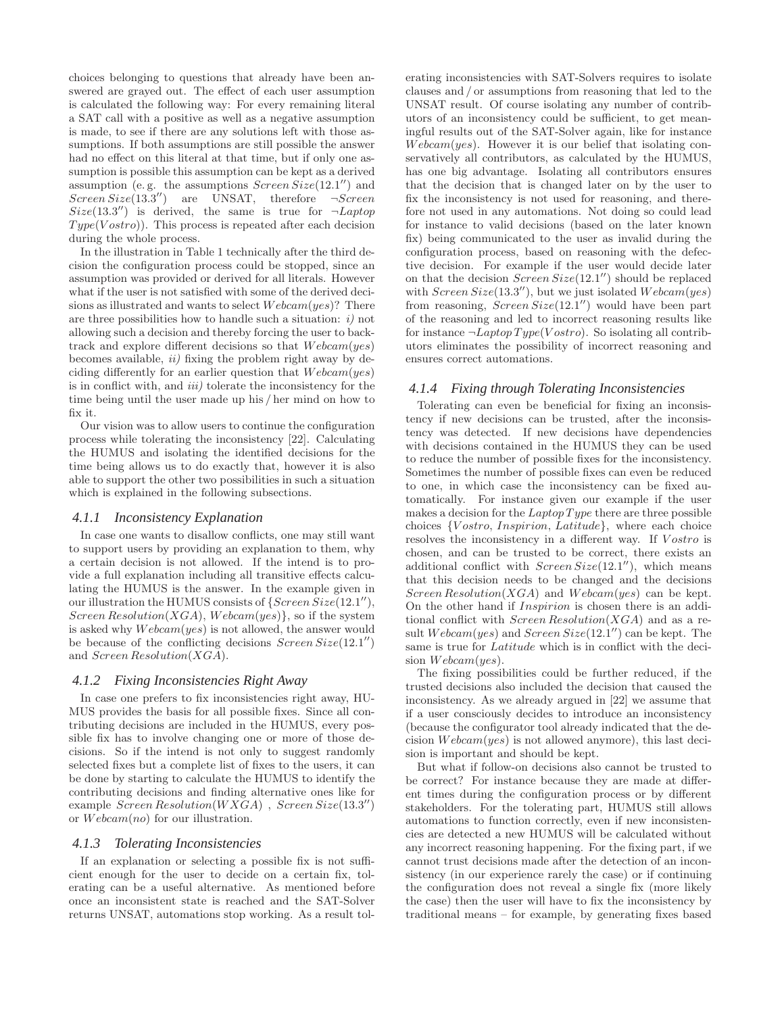choices belonging to questions that already have been answered are grayed out. The effect of each user assumption is calculated the following way: For every remaining literal a SAT call with a positive as well as a negative assumption is made, to see if there are any solutions left with those assumptions. If both assumptions are still possible the answer had no effect on this literal at that time, but if only one assumption is possible this assumption can be kept as a derived assumption (e.g. the assumptions  $Screen Size(12.1'')$  and  $Screen Size(13.3'')$  are UNSAT, therefore  $\neg Screen$  $Size(13.3'')$  is derived, the same is true for  $\neg Laptop$  $Type(Vostro)$ ). This process is repeated after each decision during the whole process.

In the illustration in Table 1 technically after the third decision the configuration process could be stopped, since an assumption was provided or derived for all literals. However what if the user is not satisfied with some of the derived decisions as illustrated and wants to select  $Webcam(yes)$ ? There are three possibilities how to handle such a situation:  $i$ ) not allowing such a decision and thereby forcing the user to backtrack and explore different decisions so that  $We beam(yes)$ becomes available,  $ii)$  fixing the problem right away by deciding differently for an earlier question that  $We beam(yes)$ is in conflict with, and  $iii)$  tolerate the inconsistency for the time being until the user made up his / her mind on how to fix it.

Our vision was to allow users to continue the configuration process while tolerating the inconsistency [22]. Calculating the HUMUS and isolating the identified decisions for the time being allows us to do exactly that, however it is also able to support the other two possibilities in such a situation which is explained in the following subsections.

#### *4.1.1 Inconsistency Explanation*

In case one wants to disallow conflicts, one may still want to support users by providing an explanation to them, why a certain decision is not allowed. If the intend is to provide a full explanation including all transitive effects calculating the HUMUS is the answer. In the example given in our illustration the HUMUS consists of  ${Screen Size(12.1'')}$ , Screen Resolution(XGA), Webcam(yes), so if the system is asked why  $We beam(yes)$  is not allowed, the answer would be because of the conflicting decisions  $Screen Size(12.1'')$ and Screen Resolution(XGA).

#### *4.1.2 Fixing Inconsistencies Right Away*

In case one prefers to fix inconsistencies right away, HU-MUS provides the basis for all possible fixes. Since all contributing decisions are included in the HUMUS, every possible fix has to involve changing one or more of those decisions. So if the intend is not only to suggest randomly selected fixes but a complete list of fixes to the users, it can be done by starting to calculate the HUMUS to identify the contributing decisions and finding alternative ones like for example  $Screen Resolution(WXGA)$ ,  $Screen Size(13.3'')$ or  $We beam(no)$  for our illustration.

#### *4.1.3 Tolerating Inconsistencies*

If an explanation or selecting a possible fix is not sufficient enough for the user to decide on a certain fix, tolerating can be a useful alternative. As mentioned before once an inconsistent state is reached and the SAT-Solver returns UNSAT, automations stop working. As a result tolerating inconsistencies with SAT-Solvers requires to isolate clauses and / or assumptions from reasoning that led to the UNSAT result. Of course isolating any number of contributors of an inconsistency could be sufficient, to get meaningful results out of the SAT-Solver again, like for instance  $We beam(yes)$ . However it is our belief that isolating conservatively all contributors, as calculated by the HUMUS, has one big advantage. Isolating all contributors ensures that the decision that is changed later on by the user to fix the inconsistency is not used for reasoning, and therefore not used in any automations. Not doing so could lead for instance to valid decisions (based on the later known fix) being communicated to the user as invalid during the configuration process, based on reasoning with the defective decision. For example if the user would decide later on that the decision  $Screen Size(12.1'')$  should be replaced with  $Screen Size(13.3'')$ , but we just isolated  $We beam(yes)$ from reasoning,  $Screen Size(12.1'')$  would have been part of the reasoning and led to incorrect reasoning results like for instance  $\neg$ *Laptop Type(V ostro)*. So isolating all contributors eliminates the possibility of incorrect reasoning and ensures correct automations.

#### *4.1.4 Fixing through Tolerating Inconsistencies*

Tolerating can even be beneficial for fixing an inconsistency if new decisions can be trusted, after the inconsistency was detected. If new decisions have dependencies with decisions contained in the HUMUS they can be used to reduce the number of possible fixes for the inconsistency. Sometimes the number of possible fixes can even be reduced to one, in which case the inconsistency can be fixed automatically. For instance given our example if the user makes a decision for the  $LaptopType$  there are three possible choices {V ostro, Inspirion, Latitude}, where each choice resolves the inconsistency in a different way. If  $Vostro$  is chosen, and can be trusted to be correct, there exists an additional conflict with  $Screen Size(12.1'')$ , which means that this decision needs to be changed and the decisions Screen Resolution(XGA) and Webcam(yes) can be kept. On the other hand if Inspirion is chosen there is an additional conflict with  $Screen Resolution(XGA)$  and as a result  $Webcam(yes)$  and  $Screen Size(12.1'')$  can be kept. The same is true for Latitude which is in conflict with the decision  $We beam(yes)$ .

The fixing possibilities could be further reduced, if the trusted decisions also included the decision that caused the inconsistency. As we already argued in [22] we assume that if a user consciously decides to introduce an inconsistency (because the configurator tool already indicated that the decision  $We beam(yes)$  is not allowed anymore), this last decision is important and should be kept.

But what if follow-on decisions also cannot be trusted to be correct? For instance because they are made at different times during the configuration process or by different stakeholders. For the tolerating part, HUMUS still allows automations to function correctly, even if new inconsistencies are detected a new HUMUS will be calculated without any incorrect reasoning happening. For the fixing part, if we cannot trust decisions made after the detection of an inconsistency (in our experience rarely the case) or if continuing the configuration does not reveal a single fix (more likely the case) then the user will have to fix the inconsistency by traditional means – for example, by generating fixes based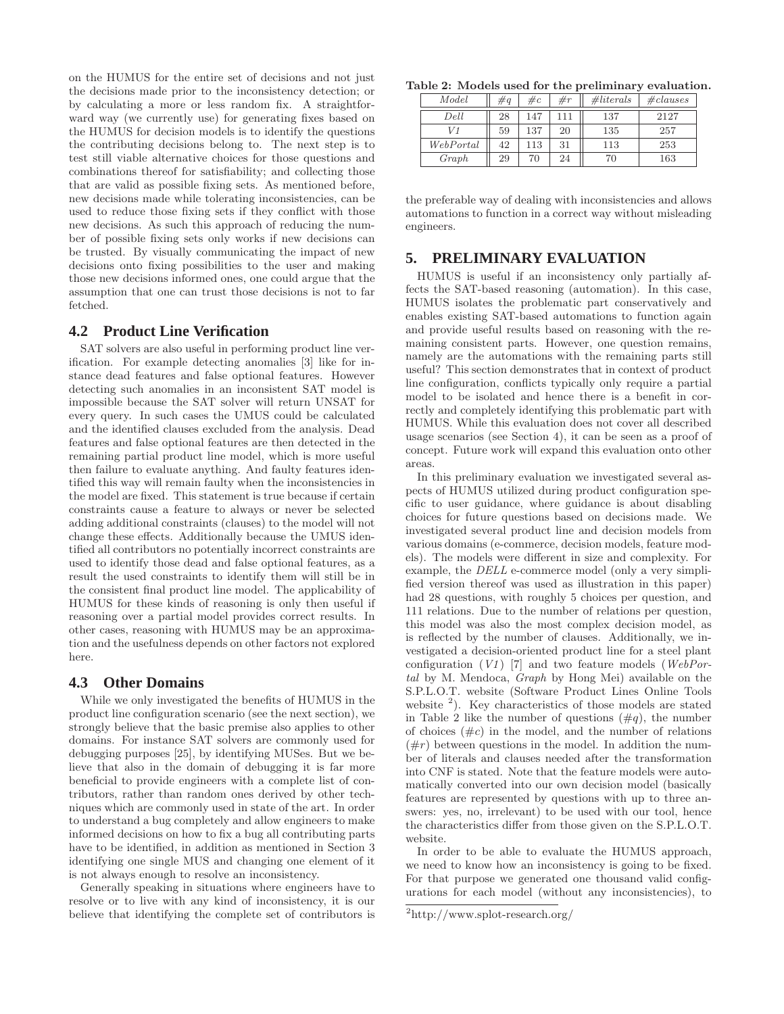on the HUMUS for the entire set of decisions and not just the decisions made prior to the inconsistency detection; or by calculating a more or less random fix. A straightforward way (we currently use) for generating fixes based on the HUMUS for decision models is to identify the questions the contributing decisions belong to. The next step is to test still viable alternative choices for those questions and combinations thereof for satisfiability; and collecting those that are valid as possible fixing sets. As mentioned before, new decisions made while tolerating inconsistencies, can be used to reduce those fixing sets if they conflict with those new decisions. As such this approach of reducing the number of possible fixing sets only works if new decisions can be trusted. By visually communicating the impact of new decisions onto fixing possibilities to the user and making those new decisions informed ones, one could argue that the assumption that one can trust those decisions is not to far fetched.

## **4.2 Product Line Verification**

SAT solvers are also useful in performing product line verification. For example detecting anomalies [3] like for instance dead features and false optional features. However detecting such anomalies in an inconsistent SAT model is impossible because the SAT solver will return UNSAT for every query. In such cases the UMUS could be calculated and the identified clauses excluded from the analysis. Dead features and false optional features are then detected in the remaining partial product line model, which is more useful then failure to evaluate anything. And faulty features identified this way will remain faulty when the inconsistencies in the model are fixed. This statement is true because if certain constraints cause a feature to always or never be selected adding additional constraints (clauses) to the model will not change these effects. Additionally because the UMUS identified all contributors no potentially incorrect constraints are used to identify those dead and false optional features, as a result the used constraints to identify them will still be in the consistent final product line model. The applicability of HUMUS for these kinds of reasoning is only then useful if reasoning over a partial model provides correct results. In other cases, reasoning with HUMUS may be an approximation and the usefulness depends on other factors not explored here.

#### **4.3 Other Domains**

While we only investigated the benefits of HUMUS in the product line configuration scenario (see the next section), we strongly believe that the basic premise also applies to other domains. For instance SAT solvers are commonly used for debugging purposes [25], by identifying MUSes. But we believe that also in the domain of debugging it is far more beneficial to provide engineers with a complete list of contributors, rather than random ones derived by other techniques which are commonly used in state of the art. In order to understand a bug completely and allow engineers to make informed decisions on how to fix a bug all contributing parts have to be identified, in addition as mentioned in Section 3 identifying one single MUS and changing one element of it is not always enough to resolve an inconsistency.

Generally speaking in situations where engineers have to resolve or to live with any kind of inconsistency, it is our believe that identifying the complete set of contributors is

Table 2: Models used for the preliminary evaluation.

| Model     | #q | $\#c$ | # $r$ | $\# literals$ | $\# clauses$ |
|-----------|----|-------|-------|---------------|--------------|
| Dell      | 28 | 147   | 111   | 137           | 2127         |
| V1        | 59 | 137   | 20    | 135           | 257          |
| WebPortal | 42 | 113   | 31    | 113           | 253          |
| Graph     | 29 | 70    | 24    | 70            | 163          |

the preferable way of dealing with inconsistencies and allows automations to function in a correct way without misleading engineers.

## **5. PRELIMINARY EVALUATION**

HUMUS is useful if an inconsistency only partially affects the SAT-based reasoning (automation). In this case, HUMUS isolates the problematic part conservatively and enables existing SAT-based automations to function again and provide useful results based on reasoning with the remaining consistent parts. However, one question remains, namely are the automations with the remaining parts still useful? This section demonstrates that in context of product line configuration, conflicts typically only require a partial model to be isolated and hence there is a benefit in correctly and completely identifying this problematic part with HUMUS. While this evaluation does not cover all described usage scenarios (see Section 4), it can be seen as a proof of concept. Future work will expand this evaluation onto other areas.

In this preliminary evaluation we investigated several aspects of HUMUS utilized during product configuration specific to user guidance, where guidance is about disabling choices for future questions based on decisions made. We investigated several product line and decision models from various domains (e-commerce, decision models, feature models). The models were different in size and complexity. For example, the DELL e-commerce model (only a very simplified version thereof was used as illustration in this paper) had 28 questions, with roughly 5 choices per question, and 111 relations. Due to the number of relations per question, this model was also the most complex decision model, as is reflected by the number of clauses. Additionally, we investigated a decision-oriented product line for a steel plant configuration  $(V1)$  [7] and two feature models (WebPortal by M. Mendoca, Graph by Hong Mei) available on the S.P.L.O.T. website (Software Product Lines Online Tools website <sup>2</sup>). Key characteristics of those models are stated in Table 2 like the number of questions  $(\#q)$ , the number of choices  $(\text{#}c)$  in the model, and the number of relations  $(\#r)$  between questions in the model. In addition the number of literals and clauses needed after the transformation into CNF is stated. Note that the feature models were automatically converted into our own decision model (basically features are represented by questions with up to three answers: yes, no, irrelevant) to be used with our tool, hence the characteristics differ from those given on the S.P.L.O.T. website.

In order to be able to evaluate the HUMUS approach, we need to know how an inconsistency is going to be fixed. For that purpose we generated one thousand valid configurations for each model (without any inconsistencies), to

<sup>2</sup>http://www.splot-research.org/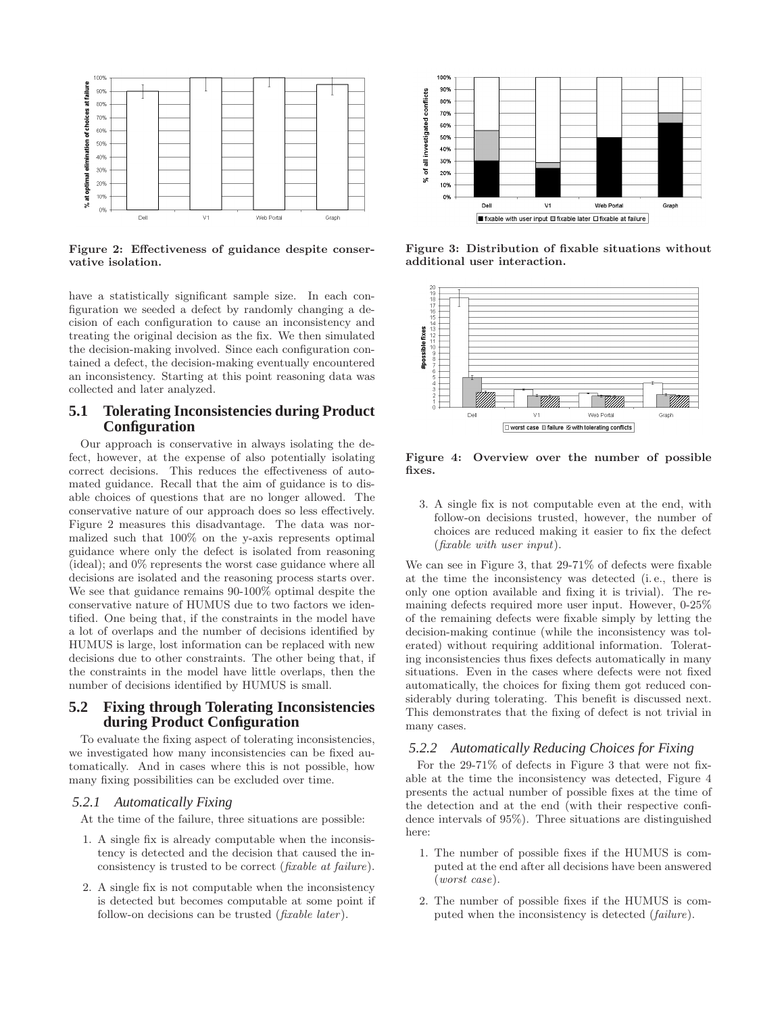

Figure 2: Effectiveness of guidance despite conservative isolation.

have a statistically significant sample size. In each configuration we seeded a defect by randomly changing a decision of each configuration to cause an inconsistency and treating the original decision as the fix. We then simulated the decision-making involved. Since each configuration contained a defect, the decision-making eventually encountered an inconsistency. Starting at this point reasoning data was collected and later analyzed.

# **5.1 Tolerating Inconsistencies during Product Configuration**

Our approach is conservative in always isolating the defect, however, at the expense of also potentially isolating correct decisions. This reduces the effectiveness of automated guidance. Recall that the aim of guidance is to disable choices of questions that are no longer allowed. The conservative nature of our approach does so less effectively. Figure 2 measures this disadvantage. The data was normalized such that 100% on the y-axis represents optimal guidance where only the defect is isolated from reasoning (ideal); and 0% represents the worst case guidance where all decisions are isolated and the reasoning process starts over. We see that guidance remains 90-100% optimal despite the conservative nature of HUMUS due to two factors we identified. One being that, if the constraints in the model have a lot of overlaps and the number of decisions identified by HUMUS is large, lost information can be replaced with new decisions due to other constraints. The other being that, if the constraints in the model have little overlaps, then the number of decisions identified by HUMUS is small.

## **5.2 Fixing through Tolerating Inconsistencies during Product Configuration**

To evaluate the fixing aspect of tolerating inconsistencies, we investigated how many inconsistencies can be fixed automatically. And in cases where this is not possible, how many fixing possibilities can be excluded over time.

## *5.2.1 Automatically Fixing*

At the time of the failure, three situations are possible:

- 1. A single fix is already computable when the inconsistency is detected and the decision that caused the inconsistency is trusted to be correct (fixable at failure).
- 2. A single fix is not computable when the inconsistency is detected but becomes computable at some point if follow-on decisions can be trusted (fixable later).



Figure 3: Distribution of fixable situations without additional user interaction.



Figure 4: Overview over the number of possible fixes.

3. A single fix is not computable even at the end, with follow-on decisions trusted, however, the number of choices are reduced making it easier to fix the defect (fixable with user input).

We can see in Figure 3, that 29-71% of defects were fixable at the time the inconsistency was detected (i. e., there is only one option available and fixing it is trivial). The remaining defects required more user input. However, 0-25% of the remaining defects were fixable simply by letting the decision-making continue (while the inconsistency was tolerated) without requiring additional information. Tolerating inconsistencies thus fixes defects automatically in many situations. Even in the cases where defects were not fixed automatically, the choices for fixing them got reduced considerably during tolerating. This benefit is discussed next. This demonstrates that the fixing of defect is not trivial in many cases.

#### *5.2.2 Automatically Reducing Choices for Fixing*

For the 29-71% of defects in Figure 3 that were not fixable at the time the inconsistency was detected, Figure 4 presents the actual number of possible fixes at the time of the detection and at the end (with their respective confidence intervals of 95%). Three situations are distinguished here:

- 1. The number of possible fixes if the HUMUS is computed at the end after all decisions have been answered (worst case).
- 2. The number of possible fixes if the HUMUS is computed when the inconsistency is detected (failure).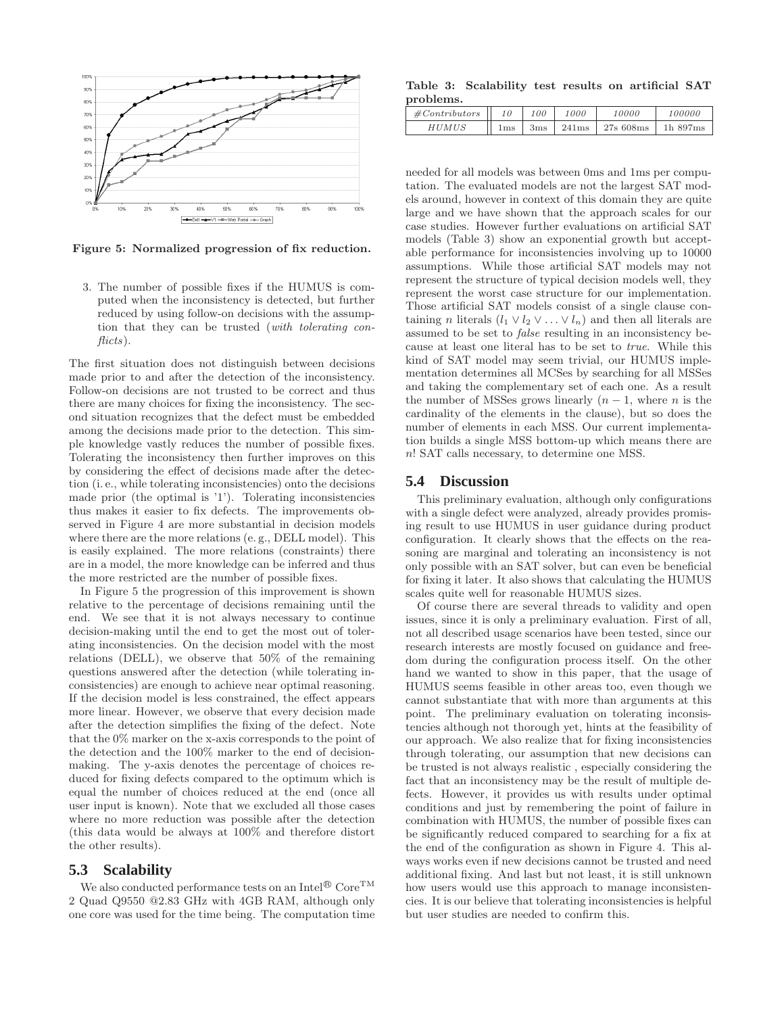

Figure 5: Normalized progression of fix reduction.

3. The number of possible fixes if the HUMUS is computed when the inconsistency is detected, but further reduced by using follow-on decisions with the assumption that they can be trusted (with tolerating conflicts).

The first situation does not distinguish between decisions made prior to and after the detection of the inconsistency. Follow-on decisions are not trusted to be correct and thus there are many choices for fixing the inconsistency. The second situation recognizes that the defect must be embedded among the decisions made prior to the detection. This simple knowledge vastly reduces the number of possible fixes. Tolerating the inconsistency then further improves on this by considering the effect of decisions made after the detection (i. e., while tolerating inconsistencies) onto the decisions made prior (the optimal is '1'). Tolerating inconsistencies thus makes it easier to fix defects. The improvements observed in Figure 4 are more substantial in decision models where there are the more relations (e. g., DELL model). This is easily explained. The more relations (constraints) there are in a model, the more knowledge can be inferred and thus the more restricted are the number of possible fixes.

In Figure 5 the progression of this improvement is shown relative to the percentage of decisions remaining until the end. We see that it is not always necessary to continue decision-making until the end to get the most out of tolerating inconsistencies. On the decision model with the most relations (DELL), we observe that 50% of the remaining questions answered after the detection (while tolerating inconsistencies) are enough to achieve near optimal reasoning. If the decision model is less constrained, the effect appears more linear. However, we observe that every decision made after the detection simplifies the fixing of the defect. Note that the 0% marker on the x-axis corresponds to the point of the detection and the 100% marker to the end of decisionmaking. The y-axis denotes the percentage of choices reduced for fixing defects compared to the optimum which is equal the number of choices reduced at the end (once all user input is known). Note that we excluded all those cases where no more reduction was possible after the detection (this data would be always at 100% and therefore distort the other results).

## **5.3 Scalability**

We also conducted performance tests on an  $\mathrm{Intel}^{\circledR}$   $\mathrm{Core}^{\mathrm{TM}}$ 2 Quad Q9550 @2.83 GHz with 4GB RAM, although only one core was used for the time being. The computation time

Table 3: Scalability test results on artificial SAT problems.

| #Contribators |     | 100         | <i>1000</i> | 10000     | 100000      |
|---------------|-----|-------------|-------------|-----------|-------------|
| HUMUS         | ⊥ms | $\rm \,3ms$ | 241ms       | 27s 608ms | $1h\,897ms$ |

needed for all models was between 0ms and 1ms per computation. The evaluated models are not the largest SAT models around, however in context of this domain they are quite large and we have shown that the approach scales for our case studies. However further evaluations on artificial SAT models (Table 3) show an exponential growth but acceptable performance for inconsistencies involving up to 10000 assumptions. While those artificial SAT models may not represent the structure of typical decision models well, they represent the worst case structure for our implementation. Those artificial SAT models consist of a single clause containing *n* literals  $(l_1 \vee l_2 \vee \ldots \vee l_n)$  and then all literals are assumed to be set to false resulting in an inconsistency because at least one literal has to be set to true. While this kind of SAT model may seem trivial, our HUMUS implementation determines all MCSes by searching for all MSSes and taking the complementary set of each one. As a result the number of MSSes grows linearly  $(n - 1)$ , where n is the cardinality of the elements in the clause), but so does the number of elements in each MSS. Our current implementation builds a single MSS bottom-up which means there are n! SAT calls necessary, to determine one MSS.

#### **5.4 Discussion**

This preliminary evaluation, although only configurations with a single defect were analyzed, already provides promising result to use HUMUS in user guidance during product configuration. It clearly shows that the effects on the reasoning are marginal and tolerating an inconsistency is not only possible with an SAT solver, but can even be beneficial for fixing it later. It also shows that calculating the HUMUS scales quite well for reasonable HUMUS sizes.

Of course there are several threads to validity and open issues, since it is only a preliminary evaluation. First of all, not all described usage scenarios have been tested, since our research interests are mostly focused on guidance and freedom during the configuration process itself. On the other hand we wanted to show in this paper, that the usage of HUMUS seems feasible in other areas too, even though we cannot substantiate that with more than arguments at this point. The preliminary evaluation on tolerating inconsistencies although not thorough yet, hints at the feasibility of our approach. We also realize that for fixing inconsistencies through tolerating, our assumption that new decisions can be trusted is not always realistic , especially considering the fact that an inconsistency may be the result of multiple defects. However, it provides us with results under optimal conditions and just by remembering the point of failure in combination with HUMUS, the number of possible fixes can be significantly reduced compared to searching for a fix at the end of the configuration as shown in Figure 4. This always works even if new decisions cannot be trusted and need additional fixing. And last but not least, it is still unknown how users would use this approach to manage inconsistencies. It is our believe that tolerating inconsistencies is helpful but user studies are needed to confirm this.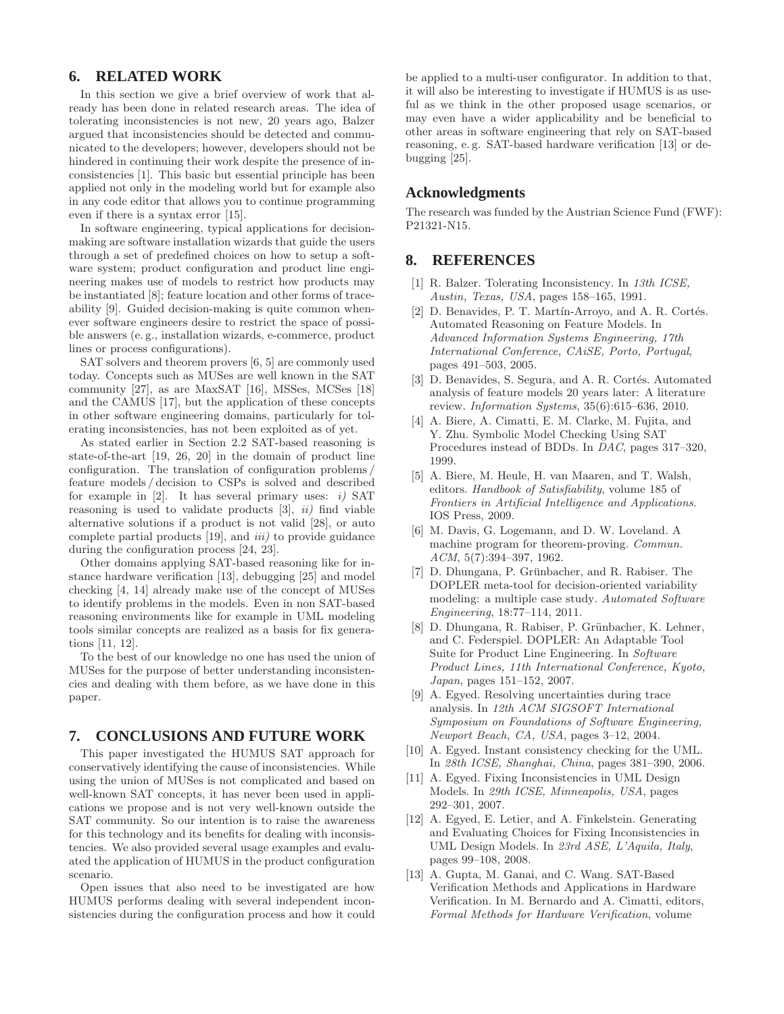## **6. RELATED WORK**

In this section we give a brief overview of work that already has been done in related research areas. The idea of tolerating inconsistencies is not new, 20 years ago, Balzer argued that inconsistencies should be detected and communicated to the developers; however, developers should not be hindered in continuing their work despite the presence of inconsistencies [1]. This basic but essential principle has been applied not only in the modeling world but for example also in any code editor that allows you to continue programming even if there is a syntax error [15].

In software engineering, typical applications for decisionmaking are software installation wizards that guide the users through a set of predefined choices on how to setup a software system; product configuration and product line engineering makes use of models to restrict how products may be instantiated [8]; feature location and other forms of traceability [9]. Guided decision-making is quite common whenever software engineers desire to restrict the space of possible answers (e. g., installation wizards, e-commerce, product lines or process configurations).

SAT solvers and theorem provers [6, 5] are commonly used today. Concepts such as MUSes are well known in the SAT community [27], as are MaxSAT [16], MSSes, MCSes [18] and the CAMUS [17], but the application of these concepts in other software engineering domains, particularly for tolerating inconsistencies, has not been exploited as of yet.

As stated earlier in Section 2.2 SAT-based reasoning is state-of-the-art [19, 26, 20] in the domain of product line configuration. The translation of configuration problems / feature models / decision to CSPs is solved and described for example in [2]. It has several primary uses: *i*) SAT reasoning is used to validate products  $[3]$ ,  $ii)$  find viable alternative solutions if a product is not valid [28], or auto complete partial products [19], and iii) to provide guidance during the configuration process [24, 23].

Other domains applying SAT-based reasoning like for instance hardware verification [13], debugging [25] and model checking [4, 14] already make use of the concept of MUSes to identify problems in the models. Even in non SAT-based reasoning environments like for example in UML modeling tools similar concepts are realized as a basis for fix generations [11, 12].

To the best of our knowledge no one has used the union of MUSes for the purpose of better understanding inconsistencies and dealing with them before, as we have done in this paper.

# **7. CONCLUSIONS AND FUTURE WORK**

This paper investigated the HUMUS SAT approach for conservatively identifying the cause of inconsistencies. While using the union of MUSes is not complicated and based on well-known SAT concepts, it has never been used in applications we propose and is not very well-known outside the SAT community. So our intention is to raise the awareness for this technology and its benefits for dealing with inconsistencies. We also provided several usage examples and evaluated the application of HUMUS in the product configuration scenario.

Open issues that also need to be investigated are how HUMUS performs dealing with several independent inconsistencies during the configuration process and how it could be applied to a multi-user configurator. In addition to that, it will also be interesting to investigate if HUMUS is as useful as we think in the other proposed usage scenarios, or may even have a wider applicability and be beneficial to other areas in software engineering that rely on SAT-based reasoning, e. g. SAT-based hardware verification [13] or debugging [25].

# **Acknowledgments**

The research was funded by the Austrian Science Fund (FWF): P21321-N15.

# **8. REFERENCES**

- [1] R. Balzer. Tolerating Inconsistency. In 13th ICSE, Austin, Texas, USA, pages 158–165, 1991.
- [2] D. Benavides, P. T. Martín-Arroyo, and A. R. Cortés. Automated Reasoning on Feature Models. In Advanced Information Systems Engineering, 17th International Conference, CAiSE, Porto, Portugal, pages 491–503, 2005.
- [3] D. Benavides, S. Segura, and A. R. Cortés. Automated analysis of feature models 20 years later: A literature review. Information Systems, 35(6):615–636, 2010.
- [4] A. Biere, A. Cimatti, E. M. Clarke, M. Fujita, and Y. Zhu. Symbolic Model Checking Using SAT Procedures instead of BDDs. In DAC, pages 317–320, 1999.
- [5] A. Biere, M. Heule, H. van Maaren, and T. Walsh, editors. Handbook of Satisfiability, volume 185 of Frontiers in Artificial Intelligence and Applications. IOS Press, 2009.
- [6] M. Davis, G. Logemann, and D. W. Loveland. A machine program for theorem-proving. Commun. ACM, 5(7):394–397, 1962.
- [7] D. Dhungana, P. Grünbacher, and R. Rabiser. The DOPLER meta-tool for decision-oriented variability modeling: a multiple case study. Automated Software Engineering, 18:77–114, 2011.
- [8] D. Dhungana, R. Rabiser, P. Grünbacher, K. Lehner, and C. Federspiel. DOPLER: An Adaptable Tool Suite for Product Line Engineering. In Software Product Lines, 11th International Conference, Kyoto, Japan, pages 151–152, 2007.
- [9] A. Egyed. Resolving uncertainties during trace analysis. In 12th ACM SIGSOFT International Symposium on Foundations of Software Engineering, Newport Beach, CA, USA, pages 3–12, 2004.
- [10] A. Egyed. Instant consistency checking for the UML. In 28th ICSE, Shanghai, China, pages 381–390, 2006.
- [11] A. Egyed. Fixing Inconsistencies in UML Design Models. In 29th ICSE, Minneapolis, USA, pages 292–301, 2007.
- [12] A. Egyed, E. Letier, and A. Finkelstein. Generating and Evaluating Choices for Fixing Inconsistencies in UML Design Models. In 23rd ASE, L'Aquila, Italy, pages 99–108, 2008.
- [13] A. Gupta, M. Ganai, and C. Wang. SAT-Based Verification Methods and Applications in Hardware Verification. In M. Bernardo and A. Cimatti, editors, Formal Methods for Hardware Verification, volume